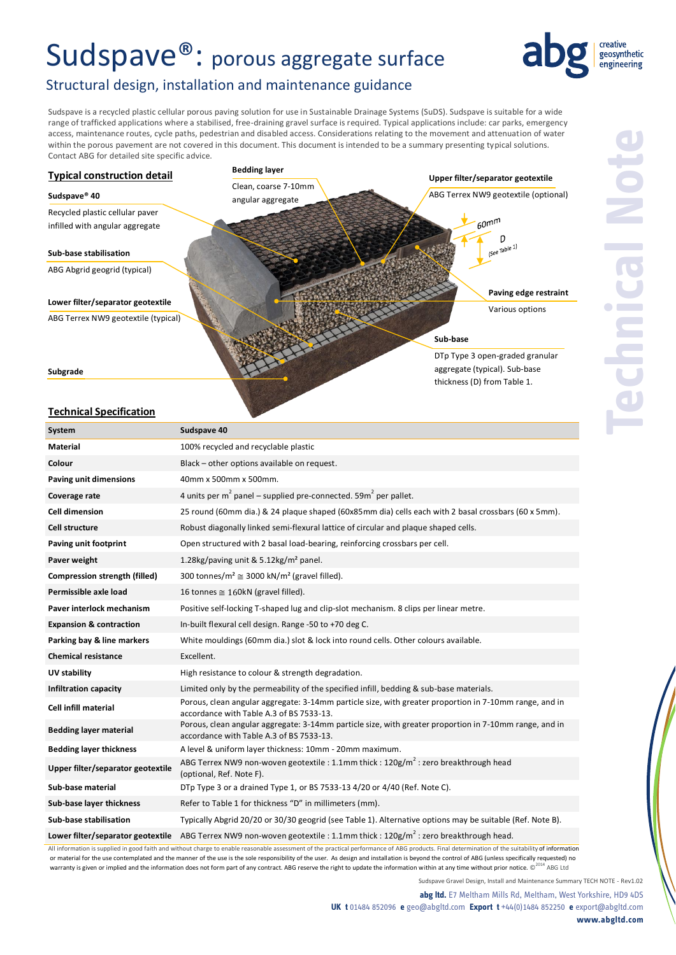# Sudspave®: porous aggregate surface



# Structural design, installation and maintenance guidance

Sudspave is a recycled plastic cellular porous paving solution for use in Sustainable Drainage Systems (SuDS). Sudspave is suitable for a wide range of trafficked applications where a stabilised, free-draining gravel surface is required. Typical applications include: car parks, emergency access, maintenance routes, cycle paths, pedestrian and disabled access. Considerations relating to the movement and attenuation of water within the porous pavement are not covered in this document. This document is intended to be a summary presenting typical solutions. Contact ABG for detailed site specific advice.



## **Technical Specification**

| System                             | Sudspave 40                                                                                                                                        |  |
|------------------------------------|----------------------------------------------------------------------------------------------------------------------------------------------------|--|
| <b>Material</b>                    | 100% recycled and recyclable plastic                                                                                                               |  |
| Colour                             | Black - other options available on request.                                                                                                        |  |
| Paving unit dimensions             | 40mm x 500mm x 500mm.                                                                                                                              |  |
| Coverage rate                      | 4 units per $m^2$ panel – supplied pre-connected. 59 $m^2$ per pallet.                                                                             |  |
| <b>Cell dimension</b>              | 25 round (60mm dia.) & 24 plaque shaped (60x85mm dia) cells each with 2 basal crossbars (60 x 5mm).                                                |  |
| Cell structure                     | Robust diagonally linked semi-flexural lattice of circular and plaque shaped cells.                                                                |  |
| Paving unit footprint              | Open structured with 2 basal load-bearing, reinforcing crossbars per cell.                                                                         |  |
| Paver weight                       | 1.28kg/paving unit & 5.12kg/m <sup>2</sup> panel.                                                                                                  |  |
| Compression strength (filled)      | 300 tonnes/m <sup>2</sup> $\cong$ 3000 kN/m <sup>2</sup> (gravel filled).                                                                          |  |
| Permissible axle load              | 16 tonnes $\cong$ 160kN (gravel filled).                                                                                                           |  |
| Paver interlock mechanism          | Positive self-locking T-shaped lug and clip-slot mechanism. 8 clips per linear metre.                                                              |  |
| <b>Expansion &amp; contraction</b> | In-built flexural cell design. Range -50 to +70 deg C.                                                                                             |  |
| Parking bay & line markers         | White mouldings (60mm dia.) slot & lock into round cells. Other colours available.                                                                 |  |
| <b>Chemical resistance</b>         | Excellent.                                                                                                                                         |  |
| UV stability                       | High resistance to colour & strength degradation.                                                                                                  |  |
| <b>Infiltration capacity</b>       | Limited only by the permeability of the specified infill, bedding & sub-base materials.                                                            |  |
| <b>Cell infill material</b>        | Porous, clean angular aggregate: 3-14mm particle size, with greater proportion in 7-10mm range, and in<br>accordance with Table A.3 of BS 7533-13. |  |
| <b>Bedding layer material</b>      | Porous, clean angular aggregate: 3-14mm particle size, with greater proportion in 7-10mm range, and in<br>accordance with Table A.3 of BS 7533-13. |  |
| <b>Bedding layer thickness</b>     | A level & uniform layer thickness: 10mm - 20mm maximum.                                                                                            |  |
| Upper filter/separator geotextile  | ABG Terrex NW9 non-woven geotextile : 1.1mm thick : $120g/m^2$ : zero breakthrough head<br>(optional, Ref. Note F).                                |  |
| Sub-base material                  | DTp Type 3 or a drained Type 1, or BS 7533-13 4/20 or 4/40 (Ref. Note C).                                                                          |  |
| Sub-base layer thickness           | Refer to Table 1 for thickness "D" in millimeters (mm).                                                                                            |  |
| Sub-base stabilisation             | Typically Abgrid 20/20 or 30/30 geogrid (see Table 1). Alternative options may be suitable (Ref. Note B).                                          |  |
| Lower filter/separator geotextile  | ABG Terrex NW9 non-woven geotextile : 1.1mm thick : $120g/m^2$ : zero breakthrough head.                                                           |  |

All information is supplied in good faith and without charge to enable reasonable assessment of the practical performance of ABG products. Final determination of the suitability of information or material for the use contemplated and the manner of the use is the sole responsibility of the user. As design and installation is beyond the control of ABG (unless specifically requested) no warranty is given or implied and the information does not form part of any contract. ABG reserve the right to update the information within at any time without prior notice.  $\mathbb{C}^{2014}$  ABG Ltd

**abg ltd.** E7 Meltham Mills Rd, Meltham, West Yorkshire, HD9 4DS **UK t** 01484 852096 **e** geo@abgltd.com **Export t** +44(0)1484 852250 **e** export@abgltd.com **www.abgltd.com**

Sudspave Gravel Design, Install and Maintenance Summary TECH NOTE - Rev1.02